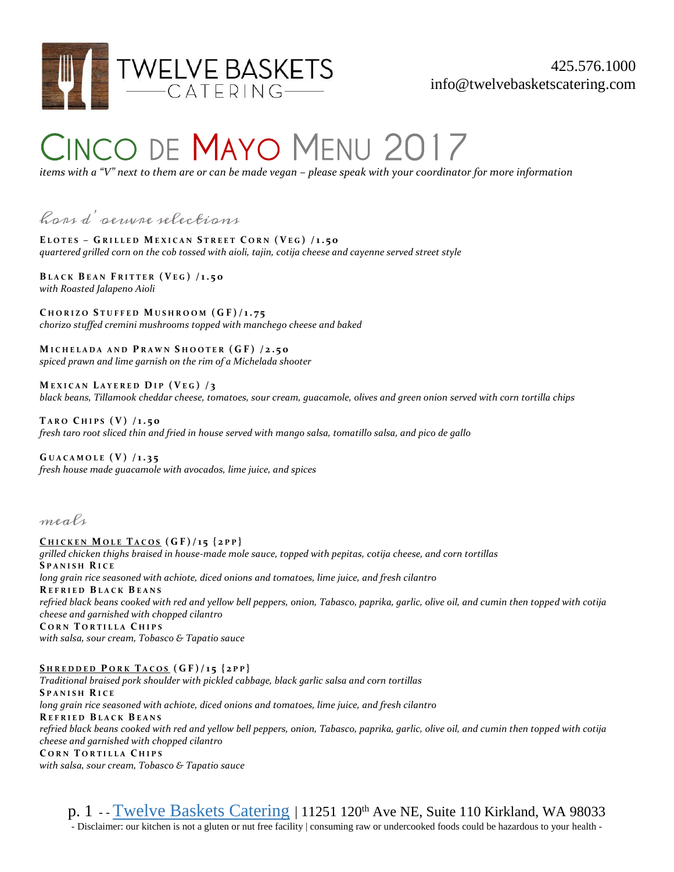

## **CINCO DE MAYO MENU 2017**

*items with a "V" next to them are or can be made vegan – please speak with your coordinator for more information*

## hors d'oeuvre selections

**E L O T E S – G R I L L E D M E X I C A N S T R E E T C O R N ( VE G ) / 1. 5 0** *quartered grilled corn on the cob tossed with aioli, tajin, cotija cheese and cayenne served street style*

**B L A C K B E A N F R I T T E R ( VE G ) / 1 . 5 0** *with Roasted Jalapeno Aioli*

**C H O R I Z O S T U F F E D M U S H R O O M ( G F ) / 1 . 7 5** *chorizo stuffed cremini mushrooms topped with manchego cheese and baked*

**M I C H E L A D A A N D P R A W N S H O O T E R ( G F ) / 2 . 5 0** *spiced prawn and lime garnish on the rim of a Michelada shooter*

**M E X I C A N L A Y E R E D DI P ( V E G ) / 3** *black beans, Tillamook cheddar cheese, tomatoes, sour cream, guacamole, olives and green onion served with corn tortilla chips*

**T A R O C H I P S ( V) / 1 . 5 0** *fresh taro root sliced thin and fried in house served with mango salsa, tomatillo salsa, and pico de gallo*

**G U A C A M O L E ( V ) / 1 . 3 5** *fresh house made guacamole with avocados, lime juice, and spices*

meals

**C H I C K E N M O L E T A C O S ( G F ) / 1 5 { 2 P P }** *grilled chicken thighs braised in house-made mole sauce, topped with pepitas, cotija cheese, and corn tortillas* **S P A N I S H R I C E** *long grain rice seasoned with achiote, diced onions and tomatoes, lime juice, and fresh cilantro* **R E F R I E D B L A C K B E A N S** *refried black beans cooked with red and yellow bell peppers, onion, Tabasco, paprika, garlic, olive oil, and cumin then topped with cotija cheese and garnished with chopped cilantro* **C O R N T O R T I L L A C H I P S** *with salsa, sour cream, Tobasco & Tapatio sauce*

**S H R E D D E D P O R K T A C O S ( G F ) / 1 5 { 2 P P }** *Traditional braised pork shoulder with pickled cabbage, black garlic salsa and corn tortillas* **S P A N I S H R I C E** *long grain rice seasoned with achiote, diced onions and tomatoes, lime juice, and fresh cilantro* **R E F R I E D B L A C K B E A N S** *refried black beans cooked with red and yellow bell peppers, onion, Tabasco, paprika, garlic, olive oil, and cumin then topped with cotija cheese and garnished with chopped cilantro* **C O R N T O R T I L L A C H I P S** *with salsa, sour cream, Tobasco & Tapatio sauce*

p. 1 - [Twelve Baskets Catering](http://www.twelvebasketscatering.com/) | 11251 120<sup>th</sup> Ave NE, Suite 110 Kirkland, WA 98033 - Disclaimer: our kitchen is not a gluten or nut free facility | consuming raw or undercooked foods could be hazardous to your health -